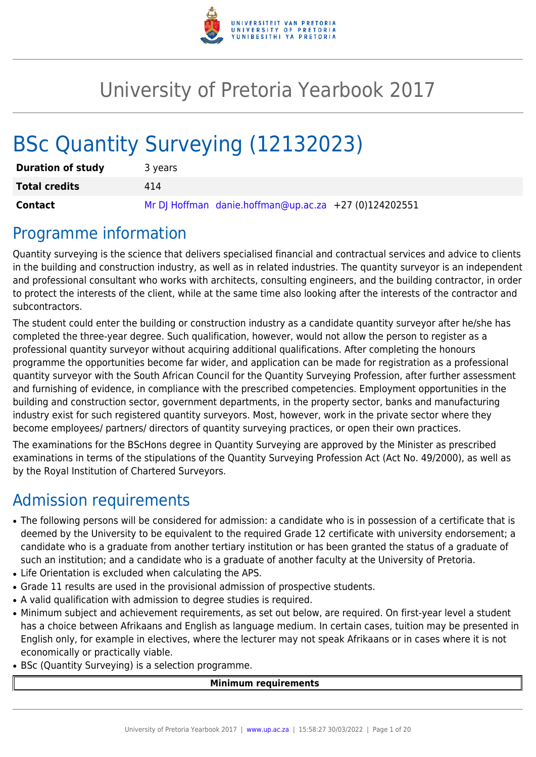

# University of Pretoria Yearbook 2017

# BSc Quantity Surveying (12132023)

| <b>Duration of study</b> | 3 years                                               |
|--------------------------|-------------------------------------------------------|
| <b>Total credits</b>     | 414                                                   |
| Contact                  | Mr DJ Hoffman danie.hoffman@up.ac.za +27 (0)124202551 |

# Programme information

Quantity surveying is the science that delivers specialised financial and contractual services and advice to clients in the building and construction industry, as well as in related industries. The quantity surveyor is an independent and professional consultant who works with architects, consulting engineers, and the building contractor, in order to protect the interests of the client, while at the same time also looking after the interests of the contractor and subcontractors.

The student could enter the building or construction industry as a candidate quantity surveyor after he/she has completed the three-year degree. Such qualification, however, would not allow the person to register as a professional quantity surveyor without acquiring additional qualifications. After completing the honours programme the opportunities become far wider, and application can be made for registration as a professional quantity surveyor with the South African Council for the Quantity Surveying Profession, after further assessment and furnishing of evidence, in compliance with the prescribed competencies. Employment opportunities in the building and construction sector, government departments, in the property sector, banks and manufacturing industry exist for such registered quantity surveyors. Most, however, work in the private sector where they become employees/ partners/ directors of quantity surveying practices, or open their own practices.

The examinations for the BScHons degree in Quantity Surveying are approved by the Minister as prescribed examinations in terms of the stipulations of the Quantity Surveying Profession Act (Act No. 49/2000), as well as by the Royal Institution of Chartered Surveyors.

# Admission requirements

- The following persons will be considered for admission: a candidate who is in possession of a certificate that is deemed by the University to be equivalent to the required Grade 12 certificate with university endorsement; a candidate who is a graduate from another tertiary institution or has been granted the status of a graduate of such an institution; and a candidate who is a graduate of another faculty at the University of Pretoria.
- Life Orientation is excluded when calculating the APS.
- Grade 11 results are used in the provisional admission of prospective students.
- A valid qualification with admission to degree studies is required.
- Minimum subject and achievement requirements, as set out below, are required. On first-year level a student has a choice between Afrikaans and English as language medium. In certain cases, tuition may be presented in English only, for example in electives, where the lecturer may not speak Afrikaans or in cases where it is not economically or practically viable.
- BSc (Quantity Surveying) is a selection programme.

#### **Minimum requirements**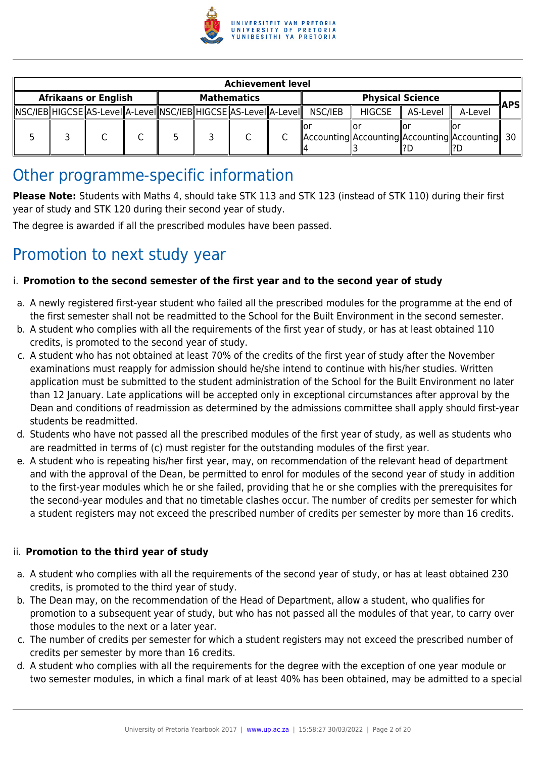

| <b>Achievement level</b> |  |                             |  |  |                                                                        |         |               |                                                     |         |            |
|--------------------------|--|-----------------------------|--|--|------------------------------------------------------------------------|---------|---------------|-----------------------------------------------------|---------|------------|
|                          |  | <b>Afrikaans or English</b> |  |  | <b>Mathematics</b>                                                     |         |               | <b>Physical Science</b>                             |         | <b>APS</b> |
|                          |  |                             |  |  | NSC/IEB  HIGCSE  AS-Level  A-Level  NSC/IEB  HIGCSE  AS-Level  A-Level | NSC/IEB | <b>HIGCSE</b> | AS-Level                                            | A-Level |            |
|                          |  |                             |  |  |                                                                        |         |               | Accounting  Accounting  Accounting  Accounting   30 |         |            |

# Other programme-specific information

**Please Note:** Students with Maths 4, should take STK 113 and STK 123 (instead of STK 110) during their first year of study and STK 120 during their second year of study.

The degree is awarded if all the prescribed modules have been passed.

# Promotion to next study year

# i. **Promotion to the second semester of the first year and to the second year of study**

- a. A newly registered first-year student who failed all the prescribed modules for the programme at the end of the first semester shall not be readmitted to the School for the Built Environment in the second semester.
- b. A student who complies with all the requirements of the first year of study, or has at least obtained 110 credits, is promoted to the second year of study.
- c. A student who has not obtained at least 70% of the credits of the first year of study after the November examinations must reapply for admission should he/she intend to continue with his/her studies. Written application must be submitted to the student administration of the School for the Built Environment no later than 12 January. Late applications will be accepted only in exceptional circumstances after approval by the Dean and conditions of readmission as determined by the admissions committee shall apply should first-year students be readmitted.
- d. Students who have not passed all the prescribed modules of the first year of study, as well as students who are readmitted in terms of (c) must register for the outstanding modules of the first year.
- e. A student who is repeating his/her first year, may, on recommendation of the relevant head of department and with the approval of the Dean, be permitted to enrol for modules of the second year of study in addition to the first-year modules which he or she failed, providing that he or she complies with the prerequisites for the second-year modules and that no timetable clashes occur. The number of credits per semester for which a student registers may not exceed the prescribed number of credits per semester by more than 16 credits.

#### ii. **Promotion to the third year of study**

- a. A student who complies with all the requirements of the second year of study, or has at least obtained 230 credits, is promoted to the third year of study.
- b. The Dean may, on the recommendation of the Head of Department, allow a student, who qualifies for promotion to a subsequent year of study, but who has not passed all the modules of that year, to carry over those modules to the next or a later year.
- c. The number of credits per semester for which a student registers may not exceed the prescribed number of credits per semester by more than 16 credits.
- d. A student who complies with all the requirements for the degree with the exception of one year module or two semester modules, in which a final mark of at least 40% has been obtained, may be admitted to a special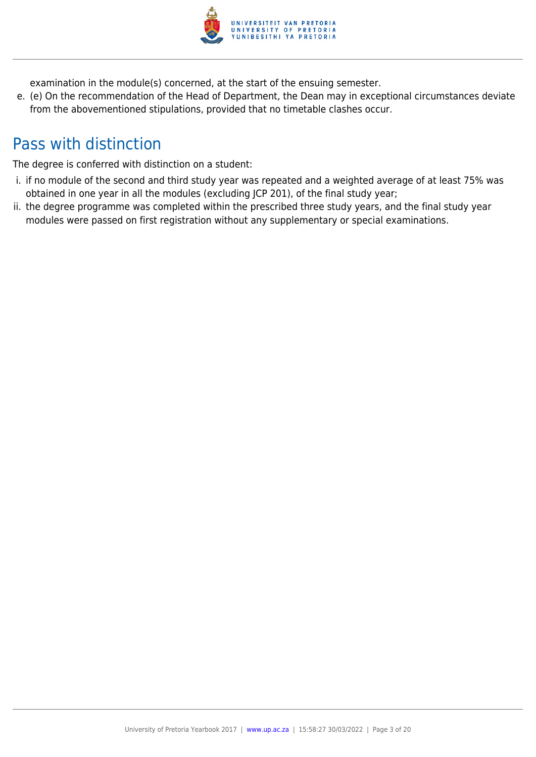

examination in the module(s) concerned, at the start of the ensuing semester.

e. (e) On the recommendation of the Head of Department, the Dean may in exceptional circumstances deviate from the abovementioned stipulations, provided that no timetable clashes occur.

# Pass with distinction

The degree is conferred with distinction on a student:

- i. if no module of the second and third study year was repeated and a weighted average of at least 75% was obtained in one year in all the modules (excluding JCP 201), of the final study year;
- ii. the degree programme was completed within the prescribed three study years, and the final study year modules were passed on first registration without any supplementary or special examinations.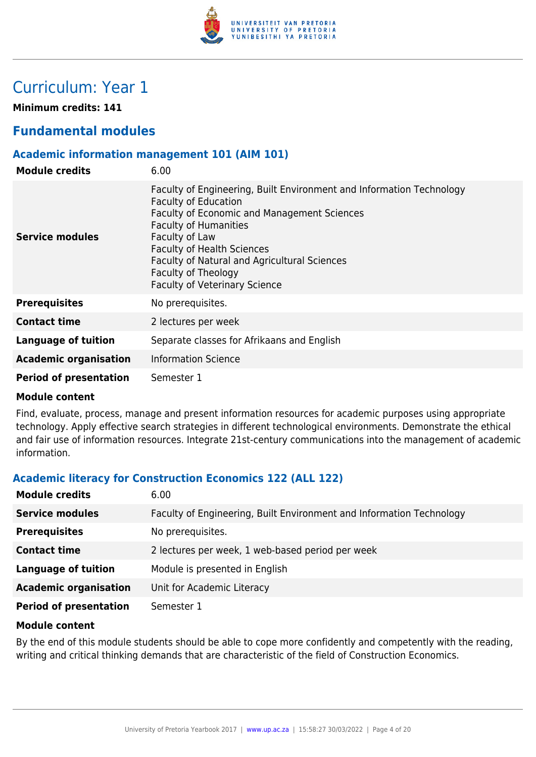

# Curriculum: Year 1

**Minimum credits: 141**

# **Fundamental modules**

# **Academic information management 101 (AIM 101)**

| <b>Module credits</b>         | 6.00                                                                                                                                                                                                                                                                                                                                                     |
|-------------------------------|----------------------------------------------------------------------------------------------------------------------------------------------------------------------------------------------------------------------------------------------------------------------------------------------------------------------------------------------------------|
| <b>Service modules</b>        | Faculty of Engineering, Built Environment and Information Technology<br><b>Faculty of Education</b><br>Faculty of Economic and Management Sciences<br><b>Faculty of Humanities</b><br>Faculty of Law<br><b>Faculty of Health Sciences</b><br>Faculty of Natural and Agricultural Sciences<br>Faculty of Theology<br><b>Faculty of Veterinary Science</b> |
| <b>Prerequisites</b>          | No prerequisites.                                                                                                                                                                                                                                                                                                                                        |
| <b>Contact time</b>           | 2 lectures per week                                                                                                                                                                                                                                                                                                                                      |
| Language of tuition           | Separate classes for Afrikaans and English                                                                                                                                                                                                                                                                                                               |
| <b>Academic organisation</b>  | <b>Information Science</b>                                                                                                                                                                                                                                                                                                                               |
| <b>Period of presentation</b> | Semester 1                                                                                                                                                                                                                                                                                                                                               |

#### **Module content**

Find, evaluate, process, manage and present information resources for academic purposes using appropriate technology. Apply effective search strategies in different technological environments. Demonstrate the ethical and fair use of information resources. Integrate 21st-century communications into the management of academic information.

# **Academic literacy for Construction Economics 122 (ALL 122)**

| <b>Module credits</b>         | 6.00                                                                 |
|-------------------------------|----------------------------------------------------------------------|
| <b>Service modules</b>        | Faculty of Engineering, Built Environment and Information Technology |
| <b>Prerequisites</b>          | No prerequisites.                                                    |
| <b>Contact time</b>           | 2 lectures per week, 1 web-based period per week                     |
| <b>Language of tuition</b>    | Module is presented in English                                       |
| <b>Academic organisation</b>  | Unit for Academic Literacy                                           |
| <b>Period of presentation</b> | Semester 1                                                           |

#### **Module content**

By the end of this module students should be able to cope more confidently and competently with the reading, writing and critical thinking demands that are characteristic of the field of Construction Economics.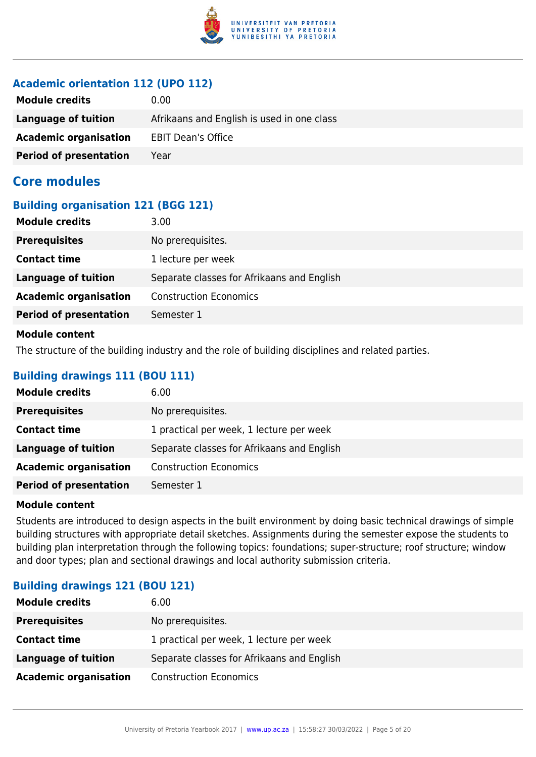

# **Academic orientation 112 (UPO 112)**

| <b>Module credits</b>         | 0.00                                       |
|-------------------------------|--------------------------------------------|
| Language of tuition           | Afrikaans and English is used in one class |
| <b>Academic organisation</b>  | <b>EBIT Dean's Office</b>                  |
| <b>Period of presentation</b> | Year                                       |

# **Core modules**

### **Building organisation 121 (BGG 121)**

| <b>Module credits</b>         | 3.00                                       |
|-------------------------------|--------------------------------------------|
| <b>Prerequisites</b>          | No prerequisites.                          |
| <b>Contact time</b>           | 1 lecture per week                         |
| <b>Language of tuition</b>    | Separate classes for Afrikaans and English |
| <b>Academic organisation</b>  | <b>Construction Economics</b>              |
| <b>Period of presentation</b> | Semester 1                                 |
| <b>Module content</b>         |                                            |

The structure of the building industry and the role of building disciplines and related parties.

# **Building drawings 111 (BOU 111)**

| <b>Module credits</b>         | 6.00                                       |
|-------------------------------|--------------------------------------------|
| <b>Prerequisites</b>          | No prerequisites.                          |
| <b>Contact time</b>           | 1 practical per week, 1 lecture per week   |
| <b>Language of tuition</b>    | Separate classes for Afrikaans and English |
| <b>Academic organisation</b>  | <b>Construction Economics</b>              |
| <b>Period of presentation</b> | Semester 1                                 |

#### **Module content**

Students are introduced to design aspects in the built environment by doing basic technical drawings of simple building structures with appropriate detail sketches. Assignments during the semester expose the students to building plan interpretation through the following topics: foundations; super-structure; roof structure; window and door types; plan and sectional drawings and local authority submission criteria.

# **Building drawings 121 (BOU 121)**

| <b>Module credits</b>        | 6.00                                       |
|------------------------------|--------------------------------------------|
| <b>Prerequisites</b>         | No prerequisites.                          |
| <b>Contact time</b>          | 1 practical per week, 1 lecture per week   |
| Language of tuition          | Separate classes for Afrikaans and English |
| <b>Academic organisation</b> | <b>Construction Economics</b>              |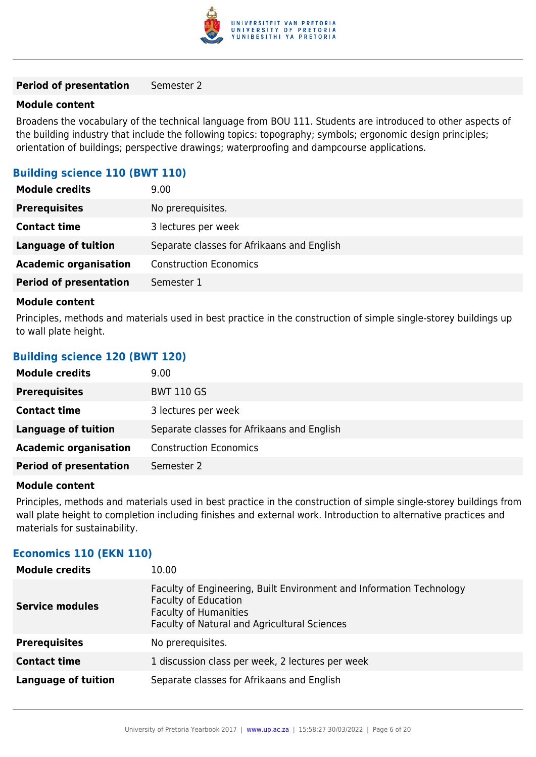

#### **Period of presentation** Semester 2

#### **Module content**

Broadens the vocabulary of the technical language from BOU 111. Students are introduced to other aspects of the building industry that include the following topics: topography; symbols; ergonomic design principles; orientation of buildings; perspective drawings; waterproofing and dampcourse applications.

#### **Building science 110 (BWT 110)**

| <b>Module credits</b>         | 9.00                                       |
|-------------------------------|--------------------------------------------|
| <b>Prerequisites</b>          | No prerequisites.                          |
| <b>Contact time</b>           | 3 lectures per week                        |
| Language of tuition           | Separate classes for Afrikaans and English |
| <b>Academic organisation</b>  | <b>Construction Economics</b>              |
| <b>Period of presentation</b> | Semester 1                                 |

#### **Module content**

Principles, methods and materials used in best practice in the construction of simple single-storey buildings up to wall plate height.

#### **Building science 120 (BWT 120)**

| <b>Module credits</b>         | 9.00                                       |
|-------------------------------|--------------------------------------------|
| <b>Prerequisites</b>          | <b>BWT 110 GS</b>                          |
| <b>Contact time</b>           | 3 lectures per week                        |
| Language of tuition           | Separate classes for Afrikaans and English |
| <b>Academic organisation</b>  | <b>Construction Economics</b>              |
| <b>Period of presentation</b> | Semester 2                                 |

#### **Module content**

Principles, methods and materials used in best practice in the construction of simple single-storey buildings from wall plate height to completion including finishes and external work. Introduction to alternative practices and materials for sustainability.

#### **Economics 110 (EKN 110)**

| <b>Module credits</b>      | 10.00                                                                                                                                                                               |
|----------------------------|-------------------------------------------------------------------------------------------------------------------------------------------------------------------------------------|
| <b>Service modules</b>     | Faculty of Engineering, Built Environment and Information Technology<br><b>Faculty of Education</b><br><b>Faculty of Humanities</b><br>Faculty of Natural and Agricultural Sciences |
| <b>Prerequisites</b>       | No prerequisites.                                                                                                                                                                   |
| <b>Contact time</b>        | 1 discussion class per week, 2 lectures per week                                                                                                                                    |
| <b>Language of tuition</b> | Separate classes for Afrikaans and English                                                                                                                                          |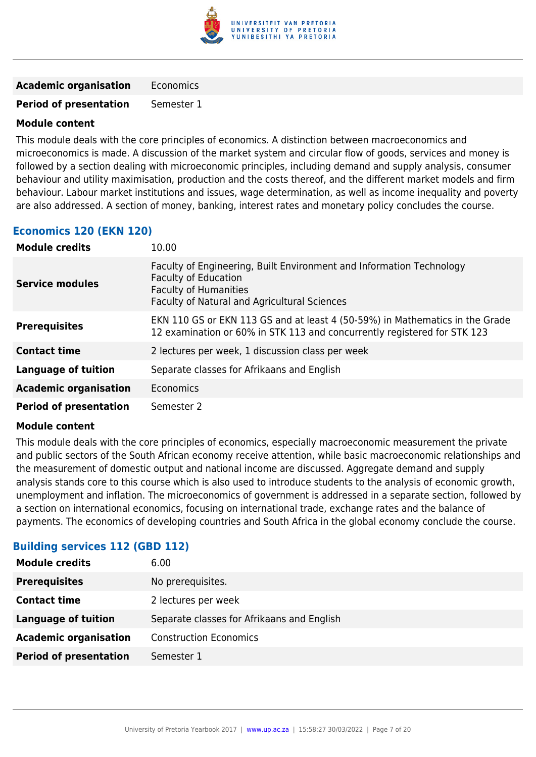

**Academic organisation** Economics

**Period of presentation** Semester 1

### **Module content**

This module deals with the core principles of economics. A distinction between macroeconomics and microeconomics is made. A discussion of the market system and circular flow of goods, services and money is followed by a section dealing with microeconomic principles, including demand and supply analysis, consumer behaviour and utility maximisation, production and the costs thereof, and the different market models and firm behaviour. Labour market institutions and issues, wage determination, as well as income inequality and poverty are also addressed. A section of money, banking, interest rates and monetary policy concludes the course.

# **Economics 120 (EKN 120)**

| <b>Module credits</b>         | 10.00                                                                                                                                                                               |
|-------------------------------|-------------------------------------------------------------------------------------------------------------------------------------------------------------------------------------|
| <b>Service modules</b>        | Faculty of Engineering, Built Environment and Information Technology<br><b>Faculty of Education</b><br><b>Faculty of Humanities</b><br>Faculty of Natural and Agricultural Sciences |
| <b>Prerequisites</b>          | EKN 110 GS or EKN 113 GS and at least 4 (50-59%) in Mathematics in the Grade<br>12 examination or 60% in STK 113 and concurrently registered for STK 123                            |
| <b>Contact time</b>           | 2 lectures per week, 1 discussion class per week                                                                                                                                    |
| <b>Language of tuition</b>    | Separate classes for Afrikaans and English                                                                                                                                          |
| <b>Academic organisation</b>  | Economics                                                                                                                                                                           |
| <b>Period of presentation</b> | Semester 2                                                                                                                                                                          |

#### **Module content**

This module deals with the core principles of economics, especially macroeconomic measurement the private and public sectors of the South African economy receive attention, while basic macroeconomic relationships and the measurement of domestic output and national income are discussed. Aggregate demand and supply analysis stands core to this course which is also used to introduce students to the analysis of economic growth, unemployment and inflation. The microeconomics of government is addressed in a separate section, followed by a section on international economics, focusing on international trade, exchange rates and the balance of payments. The economics of developing countries and South Africa in the global economy conclude the course.

#### **Building services 112 (GBD 112)**

| <b>Module credits</b><br>6.00                                            |  |
|--------------------------------------------------------------------------|--|
| <b>Prerequisites</b><br>No prerequisites.                                |  |
| <b>Contact time</b><br>2 lectures per week                               |  |
| <b>Language of tuition</b><br>Separate classes for Afrikaans and English |  |
| <b>Academic organisation</b><br><b>Construction Economics</b>            |  |
| <b>Period of presentation</b><br>Semester 1                              |  |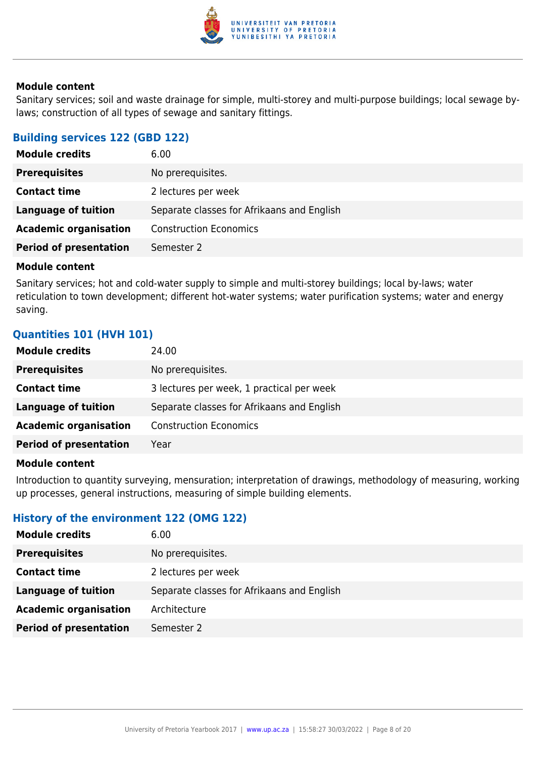

Sanitary services; soil and waste drainage for simple, multi-storey and multi-purpose buildings; local sewage bylaws; construction of all types of sewage and sanitary fittings.

#### **Building services 122 (GBD 122)**

| <b>Module credits</b>         | 6.00                                       |
|-------------------------------|--------------------------------------------|
| <b>Prerequisites</b>          | No prerequisites.                          |
| <b>Contact time</b>           | 2 lectures per week                        |
| <b>Language of tuition</b>    | Separate classes for Afrikaans and English |
| <b>Academic organisation</b>  | <b>Construction Economics</b>              |
| <b>Period of presentation</b> | Semester 2                                 |

#### **Module content**

Sanitary services; hot and cold-water supply to simple and multi-storey buildings; local by-laws; water reticulation to town development; different hot-water systems; water purification systems; water and energy saving.

# **Quantities 101 (HVH 101)**

| <b>Module credits</b>         | 24.00                                      |
|-------------------------------|--------------------------------------------|
| <b>Prerequisites</b>          | No prerequisites.                          |
| <b>Contact time</b>           | 3 lectures per week, 1 practical per week  |
| <b>Language of tuition</b>    | Separate classes for Afrikaans and English |
| <b>Academic organisation</b>  | <b>Construction Economics</b>              |
| <b>Period of presentation</b> | Year                                       |

#### **Module content**

Introduction to quantity surveying, mensuration; interpretation of drawings, methodology of measuring, working up processes, general instructions, measuring of simple building elements.

# **History of the environment 122 (OMG 122)**

| <b>Module credits</b>         | 6.00                                       |
|-------------------------------|--------------------------------------------|
| <b>Prerequisites</b>          | No prerequisites.                          |
| <b>Contact time</b>           | 2 lectures per week                        |
| Language of tuition           | Separate classes for Afrikaans and English |
| <b>Academic organisation</b>  | Architecture                               |
| <b>Period of presentation</b> | Semester 2                                 |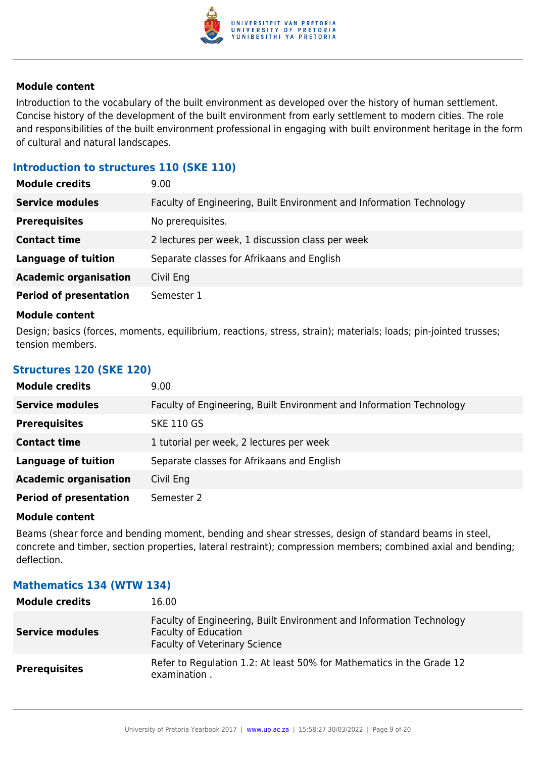

Introduction to the vocabulary of the built environment as developed over the history of human settlement. Concise history of the development of the built environment from early settlement to modern cities. The role and responsibilities of the built environment professional in engaging with built environment heritage in the form of cultural and natural landscapes.

### **Introduction to structures 110 (SKE 110)**

| <b>Module credits</b>         | 9.00                                                                 |
|-------------------------------|----------------------------------------------------------------------|
| <b>Service modules</b>        | Faculty of Engineering, Built Environment and Information Technology |
| <b>Prerequisites</b>          | No prerequisites.                                                    |
| <b>Contact time</b>           | 2 lectures per week, 1 discussion class per week                     |
| <b>Language of tuition</b>    | Separate classes for Afrikaans and English                           |
| <b>Academic organisation</b>  | Civil Eng                                                            |
| <b>Period of presentation</b> | Semester 1                                                           |

#### **Module content**

Design; basics (forces, moments, equilibrium, reactions, stress, strain); materials; loads; pin-jointed trusses; tension members.

#### **Structures 120 (SKE 120)**

| <b>Module credits</b>         | 9.00                                                                 |
|-------------------------------|----------------------------------------------------------------------|
| <b>Service modules</b>        | Faculty of Engineering, Built Environment and Information Technology |
| <b>Prerequisites</b>          | <b>SKE 110 GS</b>                                                    |
| <b>Contact time</b>           | 1 tutorial per week, 2 lectures per week                             |
| <b>Language of tuition</b>    | Separate classes for Afrikaans and English                           |
| <b>Academic organisation</b>  | Civil Eng                                                            |
| <b>Period of presentation</b> | Semester 2                                                           |

#### **Module content**

Beams (shear force and bending moment, bending and shear stresses, design of standard beams in steel, concrete and timber, section properties, lateral restraint); compression members; combined axial and bending; deflection.

#### **Mathematics 134 (WTW 134)**

| <b>Module credits</b>  | 16.00                                                                                                                                       |
|------------------------|---------------------------------------------------------------------------------------------------------------------------------------------|
| <b>Service modules</b> | Faculty of Engineering, Built Environment and Information Technology<br><b>Faculty of Education</b><br><b>Faculty of Veterinary Science</b> |
| <b>Prerequisites</b>   | Refer to Regulation 1.2: At least 50% for Mathematics in the Grade 12<br>examination.                                                       |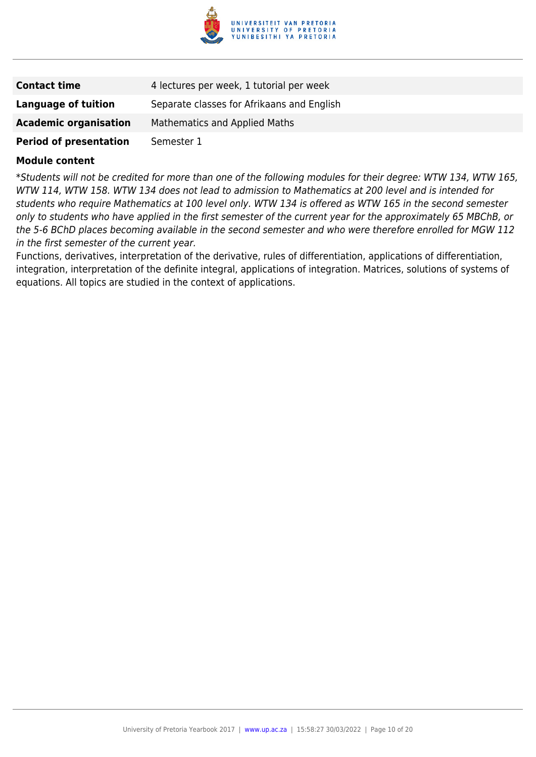

| <b>Contact time</b>           | 4 lectures per week, 1 tutorial per week   |
|-------------------------------|--------------------------------------------|
| Language of tuition           | Separate classes for Afrikaans and English |
| <b>Academic organisation</b>  | <b>Mathematics and Applied Maths</b>       |
| <b>Period of presentation</b> | Semester 1                                 |

\*Students will not be credited for more than one of the following modules for their degree: WTW 134, WTW 165, WTW 114, WTW 158. WTW 134 does not lead to admission to Mathematics at 200 level and is intended for students who require Mathematics at 100 level only. WTW 134 is offered as WTW 165 in the second semester only to students who have applied in the first semester of the current year for the approximately 65 MBChB, or the 5-6 BChD places becoming available in the second semester and who were therefore enrolled for MGW 112 in the first semester of the current year.

Functions, derivatives, interpretation of the derivative, rules of differentiation, applications of differentiation, integration, interpretation of the definite integral, applications of integration. Matrices, solutions of systems of equations. All topics are studied in the context of applications.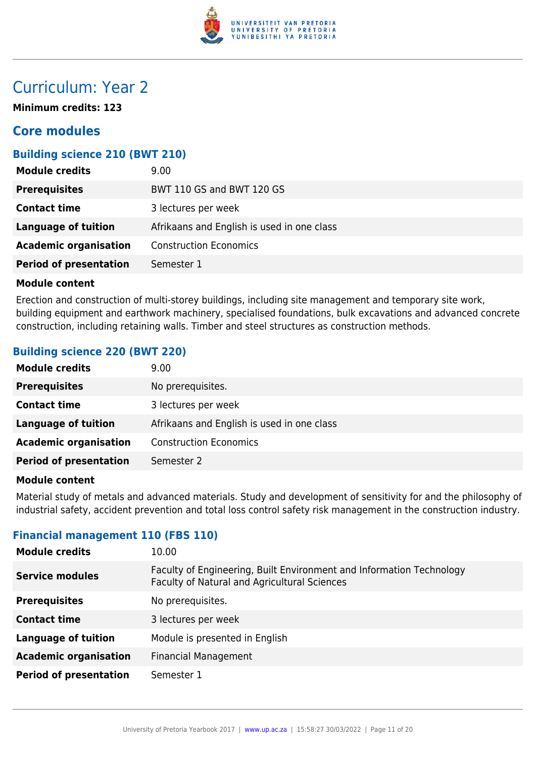

# Curriculum: Year 2

**Minimum credits: 123**

# **Core modules**

# **Building science 210 (BWT 210)**

| <b>Module credits</b>         | 9.00                                       |
|-------------------------------|--------------------------------------------|
| <b>Prerequisites</b>          | BWT 110 GS and BWT 120 GS                  |
| <b>Contact time</b>           | 3 lectures per week                        |
| <b>Language of tuition</b>    | Afrikaans and English is used in one class |
| <b>Academic organisation</b>  | <b>Construction Economics</b>              |
| <b>Period of presentation</b> | Semester 1                                 |

#### **Module content**

Erection and construction of multi-storey buildings, including site management and temporary site work, building equipment and earthwork machinery, specialised foundations, bulk excavations and advanced concrete construction, including retaining walls. Timber and steel structures as construction methods.

### **Building science 220 (BWT 220)**

| <b>Module credits</b>         | 9.00                                       |
|-------------------------------|--------------------------------------------|
| <b>Prerequisites</b>          | No prerequisites.                          |
| <b>Contact time</b>           | 3 lectures per week                        |
| <b>Language of tuition</b>    | Afrikaans and English is used in one class |
| <b>Academic organisation</b>  | <b>Construction Economics</b>              |
| <b>Period of presentation</b> | Semester 2                                 |

#### **Module content**

Material study of metals and advanced materials. Study and development of sensitivity for and the philosophy of industrial safety, accident prevention and total loss control safety risk management in the construction industry.

#### **Financial management 110 (FBS 110)**

| <b>Module credits</b>         | 10.00                                                                                                                |
|-------------------------------|----------------------------------------------------------------------------------------------------------------------|
| <b>Service modules</b>        | Faculty of Engineering, Built Environment and Information Technology<br>Faculty of Natural and Agricultural Sciences |
| <b>Prerequisites</b>          | No prerequisites.                                                                                                    |
| <b>Contact time</b>           | 3 lectures per week                                                                                                  |
| <b>Language of tuition</b>    | Module is presented in English                                                                                       |
| <b>Academic organisation</b>  | <b>Financial Management</b>                                                                                          |
| <b>Period of presentation</b> | Semester 1                                                                                                           |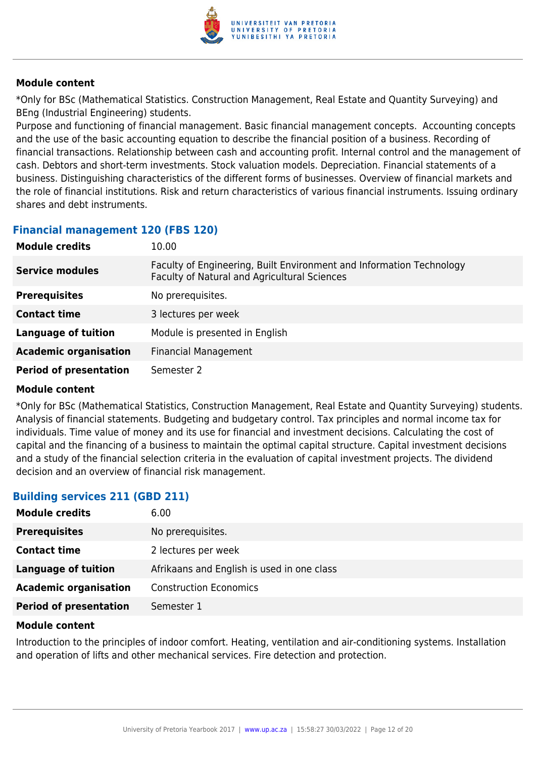

\*Only for BSc (Mathematical Statistics. Construction Management, Real Estate and Quantity Surveying) and BEng (Industrial Engineering) students.

Purpose and functioning of financial management. Basic financial management concepts. Accounting concepts and the use of the basic accounting equation to describe the financial position of a business. Recording of financial transactions. Relationship between cash and accounting profit. Internal control and the management of cash. Debtors and short-term investments. Stock valuation models. Depreciation. Financial statements of a business. Distinguishing characteristics of the different forms of businesses. Overview of financial markets and the role of financial institutions. Risk and return characteristics of various financial instruments. Issuing ordinary shares and debt instruments.

# **Financial management 120 (FBS 120)**

| <b>Module credits</b>         | 10.00                                                                                                                |
|-------------------------------|----------------------------------------------------------------------------------------------------------------------|
| <b>Service modules</b>        | Faculty of Engineering, Built Environment and Information Technology<br>Faculty of Natural and Agricultural Sciences |
| <b>Prerequisites</b>          | No prerequisites.                                                                                                    |
| <b>Contact time</b>           | 3 lectures per week                                                                                                  |
| <b>Language of tuition</b>    | Module is presented in English                                                                                       |
| <b>Academic organisation</b>  | <b>Financial Management</b>                                                                                          |
| <b>Period of presentation</b> | Semester 2                                                                                                           |

#### **Module content**

\*Only for BSc (Mathematical Statistics, Construction Management, Real Estate and Quantity Surveying) students. Analysis of financial statements. Budgeting and budgetary control. Tax principles and normal income tax for individuals. Time value of money and its use for financial and investment decisions. Calculating the cost of capital and the financing of a business to maintain the optimal capital structure. Capital investment decisions and a study of the financial selection criteria in the evaluation of capital investment projects. The dividend decision and an overview of financial risk management.

# **Building services 211 (GBD 211)**

| <b>Module credits</b>         | 6.00                                       |
|-------------------------------|--------------------------------------------|
| <b>Prerequisites</b>          | No prerequisites.                          |
| <b>Contact time</b>           | 2 lectures per week                        |
| <b>Language of tuition</b>    | Afrikaans and English is used in one class |
| <b>Academic organisation</b>  | <b>Construction Economics</b>              |
| <b>Period of presentation</b> | Semester 1                                 |

#### **Module content**

Introduction to the principles of indoor comfort. Heating, ventilation and air-conditioning systems. Installation and operation of lifts and other mechanical services. Fire detection and protection.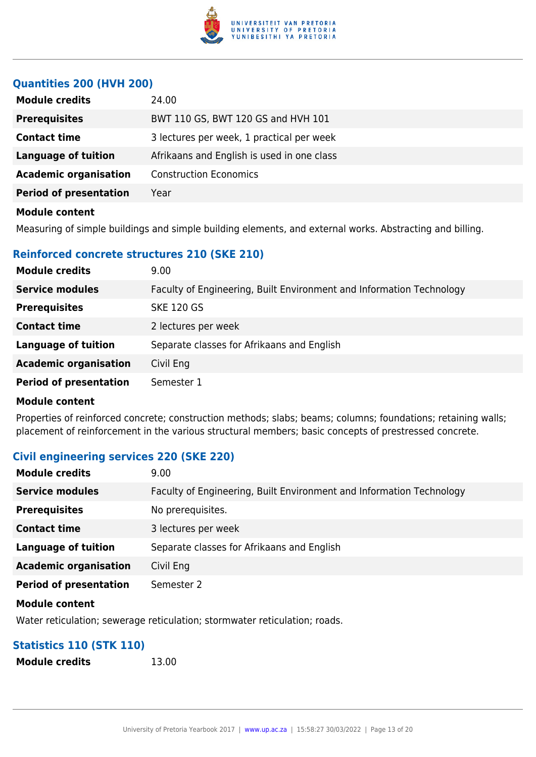

### **Quantities 200 (HVH 200)**

| <b>Module credits</b>         | 24.00                                      |
|-------------------------------|--------------------------------------------|
| <b>Prerequisites</b>          | BWT 110 GS, BWT 120 GS and HVH 101         |
| <b>Contact time</b>           | 3 lectures per week, 1 practical per week  |
| <b>Language of tuition</b>    | Afrikaans and English is used in one class |
| <b>Academic organisation</b>  | <b>Construction Economics</b>              |
| <b>Period of presentation</b> | Year                                       |
| <b>Module content</b>         |                                            |

Measuring of simple buildings and simple building elements, and external works. Abstracting and billing.

### **Reinforced concrete structures 210 (SKE 210)**

| <b>Module credits</b>         | 9.00                                                                 |
|-------------------------------|----------------------------------------------------------------------|
| <b>Service modules</b>        | Faculty of Engineering, Built Environment and Information Technology |
| <b>Prerequisites</b>          | <b>SKE 120 GS</b>                                                    |
| <b>Contact time</b>           | 2 lectures per week                                                  |
| <b>Language of tuition</b>    | Separate classes for Afrikaans and English                           |
| <b>Academic organisation</b>  | Civil Eng                                                            |
| <b>Period of presentation</b> | Semester 1                                                           |

#### **Module content**

Properties of reinforced concrete; construction methods; slabs; beams; columns; foundations; retaining walls; placement of reinforcement in the various structural members; basic concepts of prestressed concrete.

#### **Civil engineering services 220 (SKE 220)**

| <b>Module credits</b>         | 9.00                                                                 |
|-------------------------------|----------------------------------------------------------------------|
| <b>Service modules</b>        | Faculty of Engineering, Built Environment and Information Technology |
| <b>Prerequisites</b>          | No prerequisites.                                                    |
| <b>Contact time</b>           | 3 lectures per week                                                  |
| <b>Language of tuition</b>    | Separate classes for Afrikaans and English                           |
| <b>Academic organisation</b>  | Civil Eng                                                            |
| <b>Period of presentation</b> | Semester 2                                                           |
|                               |                                                                      |

#### **Module content**

Water reticulation; sewerage reticulation; stormwater reticulation; roads.

# **Statistics 110 (STK 110)**

**Module credits** 13.00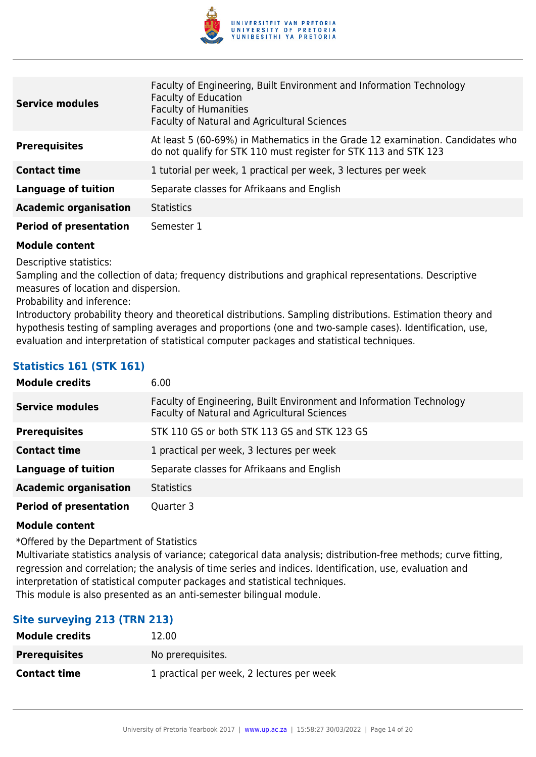

| <b>Service modules</b>        | Faculty of Engineering, Built Environment and Information Technology<br><b>Faculty of Education</b><br><b>Faculty of Humanities</b><br>Faculty of Natural and Agricultural Sciences |
|-------------------------------|-------------------------------------------------------------------------------------------------------------------------------------------------------------------------------------|
| <b>Prerequisites</b>          | At least 5 (60-69%) in Mathematics in the Grade 12 examination. Candidates who<br>do not qualify for STK 110 must register for STK 113 and STK 123                                  |
| <b>Contact time</b>           | 1 tutorial per week, 1 practical per week, 3 lectures per week                                                                                                                      |
| <b>Language of tuition</b>    | Separate classes for Afrikaans and English                                                                                                                                          |
| <b>Academic organisation</b>  | <b>Statistics</b>                                                                                                                                                                   |
| <b>Period of presentation</b> | Semester 1                                                                                                                                                                          |

Descriptive statistics:

Sampling and the collection of data; frequency distributions and graphical representations. Descriptive measures of location and dispersion.

Probability and inference:

Introductory probability theory and theoretical distributions. Sampling distributions. Estimation theory and hypothesis testing of sampling averages and proportions (one and two-sample cases). Identification, use, evaluation and interpretation of statistical computer packages and statistical techniques.

# **Statistics 161 (STK 161)**

| <b>Module credits</b>         | 6.00                                                                                                                 |
|-------------------------------|----------------------------------------------------------------------------------------------------------------------|
| <b>Service modules</b>        | Faculty of Engineering, Built Environment and Information Technology<br>Faculty of Natural and Agricultural Sciences |
| <b>Prerequisites</b>          | STK 110 GS or both STK 113 GS and STK 123 GS                                                                         |
| <b>Contact time</b>           | 1 practical per week, 3 lectures per week                                                                            |
| <b>Language of tuition</b>    | Separate classes for Afrikaans and English                                                                           |
| <b>Academic organisation</b>  | <b>Statistics</b>                                                                                                    |
| <b>Period of presentation</b> | Quarter 3                                                                                                            |

#### **Module content**

\*Offered by the Department of Statistics

Multivariate statistics analysis of variance; categorical data analysis; distribution-free methods; curve fitting, regression and correlation; the analysis of time series and indices. Identification, use, evaluation and interpretation of statistical computer packages and statistical techniques. This module is also presented as an anti-semester bilingual module.

# **Site surveying 213 (TRN 213)**

| <b>Module credits</b> | 12.00                                     |
|-----------------------|-------------------------------------------|
| <b>Prerequisites</b>  | No prerequisites.                         |
| <b>Contact time</b>   | 1 practical per week, 2 lectures per week |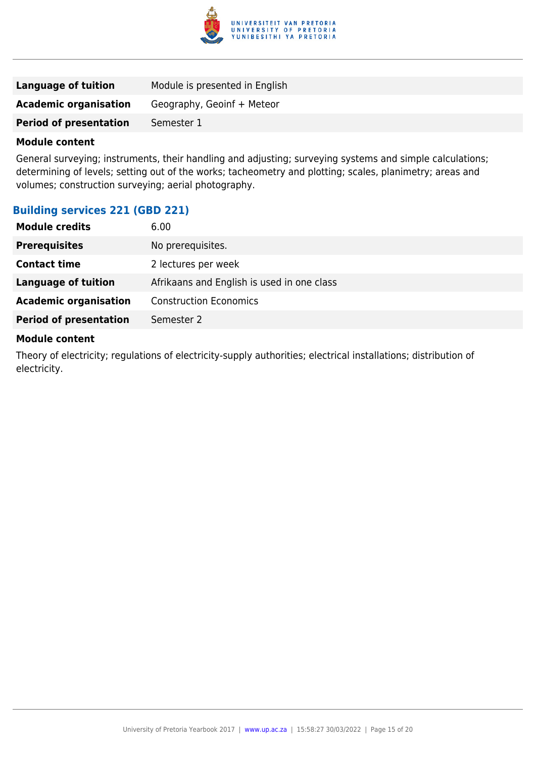

| Language of tuition           | Module is presented in English |
|-------------------------------|--------------------------------|
| <b>Academic organisation</b>  | Geography, Geoinf + Meteor     |
| <b>Period of presentation</b> | Semester 1                     |

General surveying; instruments, their handling and adjusting; surveying systems and simple calculations; determining of levels; setting out of the works; tacheometry and plotting; scales, planimetry; areas and volumes; construction surveying; aerial photography.

# **Building services 221 (GBD 221)**

| <b>Module credits</b>         | 6.00                                       |
|-------------------------------|--------------------------------------------|
| <b>Prerequisites</b>          | No prerequisites.                          |
| <b>Contact time</b>           | 2 lectures per week                        |
| <b>Language of tuition</b>    | Afrikaans and English is used in one class |
| <b>Academic organisation</b>  | <b>Construction Economics</b>              |
| <b>Period of presentation</b> | Semester 2                                 |
|                               |                                            |

#### **Module content**

Theory of electricity; regulations of electricity-supply authorities; electrical installations; distribution of electricity.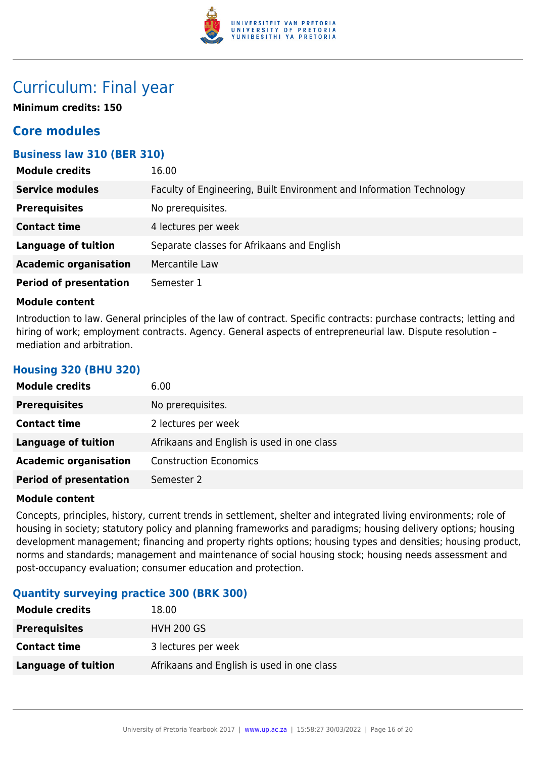

# Curriculum: Final year

**Minimum credits: 150**

# **Core modules**

# **Business law 310 (BER 310)**

| <b>Module credits</b>         | 16.00                                                                |
|-------------------------------|----------------------------------------------------------------------|
| <b>Service modules</b>        | Faculty of Engineering, Built Environment and Information Technology |
| <b>Prerequisites</b>          | No prerequisites.                                                    |
| <b>Contact time</b>           | 4 lectures per week                                                  |
| <b>Language of tuition</b>    | Separate classes for Afrikaans and English                           |
| <b>Academic organisation</b>  | Mercantile Law                                                       |
| <b>Period of presentation</b> | Semester 1                                                           |

#### **Module content**

**Housing 320 (BHU 320)**

Introduction to law. General principles of the law of contract. Specific contracts: purchase contracts; letting and hiring of work; employment contracts. Agency. General aspects of entrepreneurial law. Dispute resolution mediation and arbitration.

| <b>Module credits</b>         | 6.00                                       |
|-------------------------------|--------------------------------------------|
| <b>Prerequisites</b>          | No prerequisites.                          |
| <b>Contact time</b>           | 2 lectures per week                        |
| <b>Language of tuition</b>    | Afrikaans and English is used in one class |
| <b>Academic organisation</b>  | <b>Construction Economics</b>              |
| <b>Period of presentation</b> | Semester 2                                 |

#### **Module content**

Concepts, principles, history, current trends in settlement, shelter and integrated living environments; role of housing in society; statutory policy and planning frameworks and paradigms; housing delivery options; housing development management; financing and property rights options; housing types and densities; housing product, norms and standards; management and maintenance of social housing stock; housing needs assessment and post-occupancy evaluation; consumer education and protection.

# **Quantity surveying practice 300 (BRK 300)**

| <b>Module credits</b> | 18.00                                      |
|-----------------------|--------------------------------------------|
| <b>Prerequisites</b>  | <b>HVH 200 GS</b>                          |
| <b>Contact time</b>   | 3 lectures per week                        |
| Language of tuition   | Afrikaans and English is used in one class |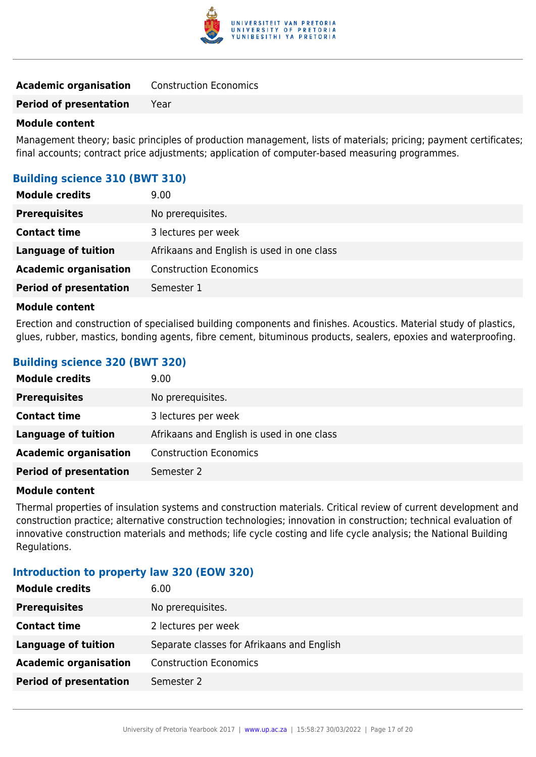

| <b>Academic organisation</b> | <b>Construction Economics</b> |
|------------------------------|-------------------------------|
|------------------------------|-------------------------------|

**Period of presentation** Year

#### **Module content**

Management theory; basic principles of production management, lists of materials; pricing; payment certificates; final accounts; contract price adjustments; application of computer-based measuring programmes.

### **Building science 310 (BWT 310)**

| <b>Module credits</b>         | 9.00                                       |
|-------------------------------|--------------------------------------------|
| <b>Prerequisites</b>          | No prerequisites.                          |
| <b>Contact time</b>           | 3 lectures per week                        |
| <b>Language of tuition</b>    | Afrikaans and English is used in one class |
| <b>Academic organisation</b>  | <b>Construction Economics</b>              |
| <b>Period of presentation</b> | Semester 1                                 |

#### **Module content**

Erection and construction of specialised building components and finishes. Acoustics. Material study of plastics, glues, rubber, mastics, bonding agents, fibre cement, bituminous products, sealers, epoxies and waterproofing.

### **Building science 320 (BWT 320)**

| <b>Module credits</b>         | 9.00                                       |
|-------------------------------|--------------------------------------------|
| <b>Prerequisites</b>          | No prerequisites.                          |
| <b>Contact time</b>           | 3 lectures per week                        |
| <b>Language of tuition</b>    | Afrikaans and English is used in one class |
| <b>Academic organisation</b>  | <b>Construction Economics</b>              |
| <b>Period of presentation</b> | Semester 2                                 |

#### **Module content**

Thermal properties of insulation systems and construction materials. Critical review of current development and construction practice; alternative construction technologies; innovation in construction; technical evaluation of innovative construction materials and methods; life cycle costing and life cycle analysis; the National Building Regulations.

#### **Introduction to property law 320 (EOW 320)**

| <b>Module credits</b>         | 6.00                                       |
|-------------------------------|--------------------------------------------|
| <b>Prerequisites</b>          | No prerequisites.                          |
| <b>Contact time</b>           | 2 lectures per week                        |
| Language of tuition           | Separate classes for Afrikaans and English |
| <b>Academic organisation</b>  | <b>Construction Economics</b>              |
| <b>Period of presentation</b> | Semester 2                                 |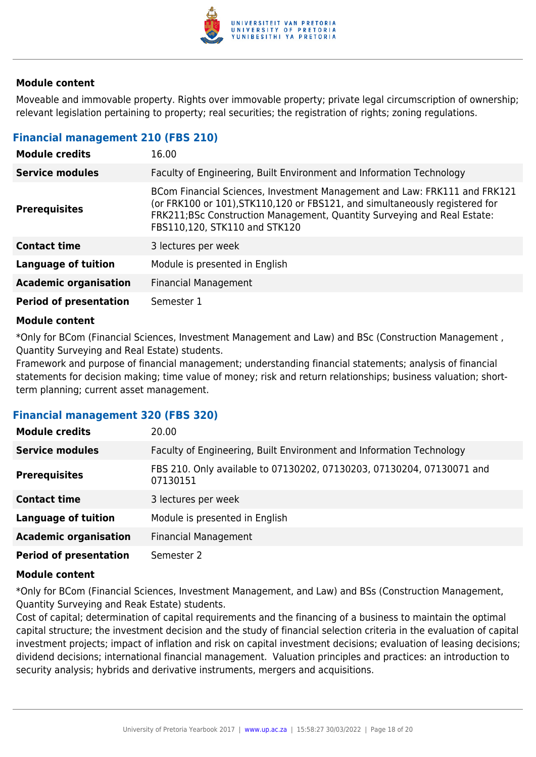

Moveable and immovable property. Rights over immovable property; private legal circumscription of ownership; relevant legislation pertaining to property; real securities; the registration of rights; zoning regulations.

#### **Financial management 210 (FBS 210)**

| <b>Module credits</b>         | 16.00                                                                                                                                                                                                                                                                 |
|-------------------------------|-----------------------------------------------------------------------------------------------------------------------------------------------------------------------------------------------------------------------------------------------------------------------|
| <b>Service modules</b>        | Faculty of Engineering, Built Environment and Information Technology                                                                                                                                                                                                  |
| <b>Prerequisites</b>          | BCom Financial Sciences, Investment Management and Law: FRK111 and FRK121<br>(or FRK100 or 101), STK110, 120 or FBS121, and simultaneously registered for<br>FRK211;BSc Construction Management, Quantity Surveying and Real Estate:<br>FBS110,120, STK110 and STK120 |
| <b>Contact time</b>           | 3 lectures per week                                                                                                                                                                                                                                                   |
| <b>Language of tuition</b>    | Module is presented in English                                                                                                                                                                                                                                        |
| <b>Academic organisation</b>  | <b>Financial Management</b>                                                                                                                                                                                                                                           |
| <b>Period of presentation</b> | Semester 1                                                                                                                                                                                                                                                            |

#### **Module content**

\*Only for BCom (Financial Sciences, Investment Management and Law) and BSc (Construction Management , Quantity Surveying and Real Estate) students.

Framework and purpose of financial management; understanding financial statements; analysis of financial statements for decision making; time value of money; risk and return relationships; business valuation; shortterm planning; current asset management.

#### **Financial management 320 (FBS 320)**

| <b>Module credits</b>         | 20.00                                                                             |
|-------------------------------|-----------------------------------------------------------------------------------|
| <b>Service modules</b>        | Faculty of Engineering, Built Environment and Information Technology              |
| <b>Prerequisites</b>          | FBS 210. Only available to 07130202, 07130203, 07130204, 07130071 and<br>07130151 |
| <b>Contact time</b>           | 3 lectures per week                                                               |
| <b>Language of tuition</b>    | Module is presented in English                                                    |
| <b>Academic organisation</b>  | <b>Financial Management</b>                                                       |
| <b>Period of presentation</b> | Semester 2                                                                        |

#### **Module content**

\*Only for BCom (Financial Sciences, Investment Management, and Law) and BSs (Construction Management, Quantity Surveying and Reak Estate) students.

Cost of capital; determination of capital requirements and the financing of a business to maintain the optimal capital structure; the investment decision and the study of financial selection criteria in the evaluation of capital investment projects; impact of inflation and risk on capital investment decisions; evaluation of leasing decisions; dividend decisions; international financial management. Valuation principles and practices: an introduction to security analysis; hybrids and derivative instruments, mergers and acquisitions.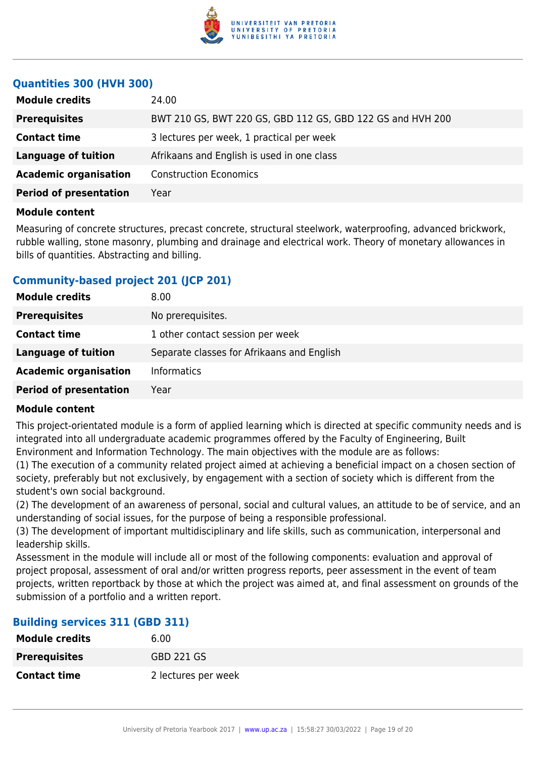

### **Quantities 300 (HVH 300)**

| <b>Module credits</b>         | 24.00                                                      |
|-------------------------------|------------------------------------------------------------|
| <b>Prerequisites</b>          | BWT 210 GS, BWT 220 GS, GBD 112 GS, GBD 122 GS and HVH 200 |
| <b>Contact time</b>           | 3 lectures per week, 1 practical per week                  |
| <b>Language of tuition</b>    | Afrikaans and English is used in one class                 |
| <b>Academic organisation</b>  | <b>Construction Economics</b>                              |
| <b>Period of presentation</b> | Year                                                       |
|                               |                                                            |

#### **Module content**

Measuring of concrete structures, precast concrete, structural steelwork, waterproofing, advanced brickwork, rubble walling, stone masonry, plumbing and drainage and electrical work. Theory of monetary allowances in bills of quantities. Abstracting and billing.

# **Community-based project 201 (JCP 201)**

| <b>Module credits</b>         | 8.00                                       |
|-------------------------------|--------------------------------------------|
| <b>Prerequisites</b>          | No prerequisites.                          |
| <b>Contact time</b>           | 1 other contact session per week           |
| <b>Language of tuition</b>    | Separate classes for Afrikaans and English |
| <b>Academic organisation</b>  | <b>Informatics</b>                         |
| <b>Period of presentation</b> | Year                                       |

#### **Module content**

This project-orientated module is a form of applied learning which is directed at specific community needs and is integrated into all undergraduate academic programmes offered by the Faculty of Engineering, Built Environment and Information Technology. The main objectives with the module are as follows:

(1) The execution of a community related project aimed at achieving a beneficial impact on a chosen section of society, preferably but not exclusively, by engagement with a section of society which is different from the student's own social background.

(2) The development of an awareness of personal, social and cultural values, an attitude to be of service, and an understanding of social issues, for the purpose of being a responsible professional.

(3) The development of important multidisciplinary and life skills, such as communication, interpersonal and leadership skills.

Assessment in the module will include all or most of the following components: evaluation and approval of project proposal, assessment of oral and/or written progress reports, peer assessment in the event of team projects, written reportback by those at which the project was aimed at, and final assessment on grounds of the submission of a portfolio and a written report.

#### **Building services 311 (GBD 311)**

| <b>Module credits</b> | 6.00                |
|-----------------------|---------------------|
| <b>Prerequisites</b>  | <b>GBD 221 GS</b>   |
| <b>Contact time</b>   | 2 lectures per week |